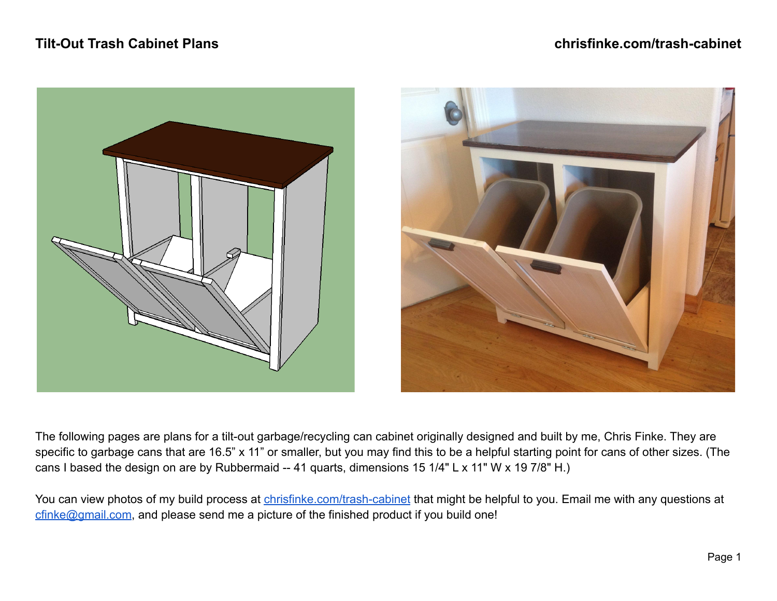# **Tilt-Out Trash Cabinet Plans chrisfinke.com/trash-cabinet**





The following pages are plans for a tilt-out garbage/recycling can cabinet originally designed and built by me, Chris Finke. They are specific to garbage cans that are 16.5" x 11" or smaller, but you may find this to be a helpful starting point for cans of other sizes. (The cans I based the design on are by Rubbermaid -- 41 quarts, dimensions 15 1/4" L x 11" W x 19 7/8" H.)

You can view photos of my build process at [chrisfinke.com/trash-cabinet](https://www.chrisfinke.com/trash-cabinet/) that might be helpful to you. Email me with any questions at [cfinke@gmail.com](mailto:cfinke@gmail.com), and please send me a picture of the finished product if you build one!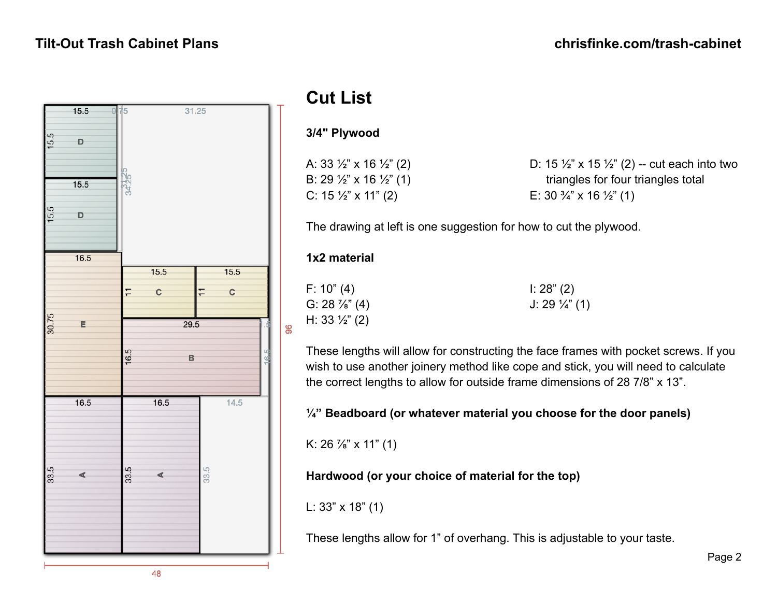

# **Cut List**

### **3/4" Plywood**

|  |  | A: 33 ½" x 16 ½" (2) |  |
|--|--|----------------------|--|
|  |  | B: 29 ½" x 16 ½" (1) |  |
|  |  | C: 15 ½" x 11" (2)   |  |

D:  $15 \frac{1}{2}$ " x  $15 \frac{1}{2}$ " (2) -- cut each into two triangles for four triangles total E:  $30\frac{3}{4}$ " x  $16\frac{1}{2}$ " (1)

The drawing at left is one suggestion for how to cut the plywood.

### **1x2 material**

F: 10" (4) G:  $28\frac{7}{8}$ " (4) H:  $33\frac{1}{2}$ " (2)

8

 $1: 28" (2)$ J: 29 ¼" (1)

These lengths will allow for constructing the face frames with pocket screws. If you wish to use another joinery method like cope and stick, you will need to calculate the correct lengths to allow for outside frame dimensions of 28 7/8" x 13".

## **¼" Beadboard (or whatever material you choose for the door panels)**

K:  $26\frac{7}{8}$ " x 11" (1)

**Hardwood (or your choice of material for the top)**

L: 33" x 18" (1)

These lengths allow for 1" of overhang. This is adjustable to your taste.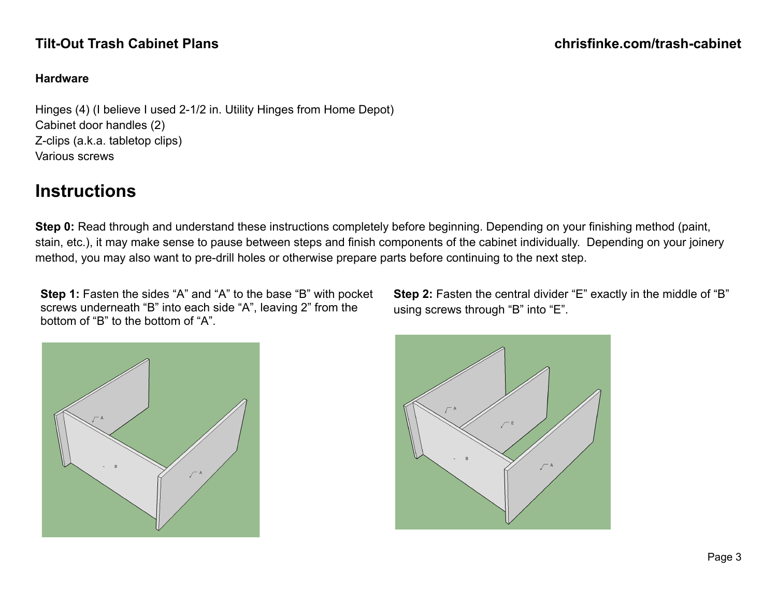### **Hardware**

Hinges (4) (I believe I used 2-1/2 in. Utility Hinges from Home Depot) Cabinet door handles (2) Z-clips (a.k.a. tabletop clips) Various screws

# **Instructions**

**Step 0:** Read through and understand these instructions completely before beginning. Depending on your finishing method (paint, stain, etc.), it may make sense to pause between steps and finish components of the cabinet individually. Depending on your joinery method, you may also want to pre-drill holes or otherwise prepare parts before continuing to the next step.

**Step 1:** Fasten the sides "A" and "A" to the base "B" with pocket screws underneath "B" into each side "A", leaving 2" from the bottom of "B" to the bottom of "A".

**Step 2:** Fasten the central divider "E" exactly in the middle of "B" using screws through "B" into "E".

Page 3



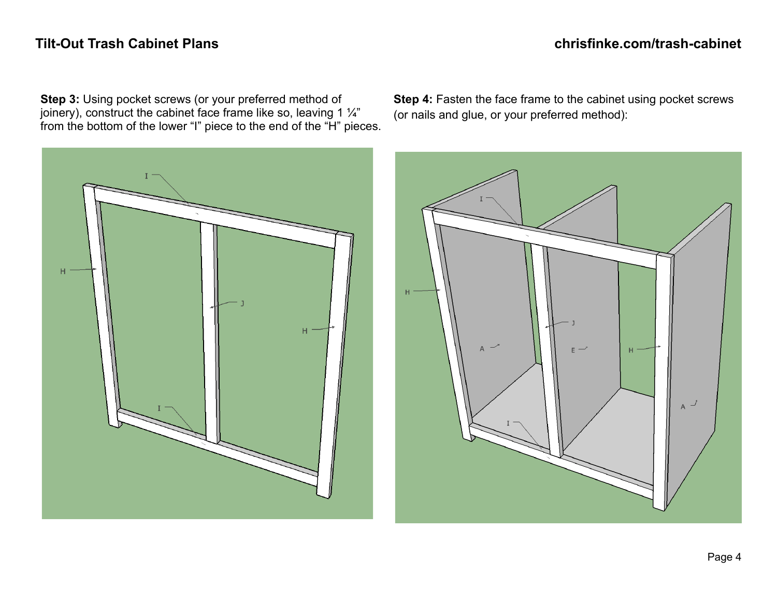**Step 3:** Using pocket screws (or your preferred method of joinery), construct the cabinet face frame like so, leaving 1  $\frac{1}{4}$ " from the bottom of the lower "I" piece to the end of the "H" pieces.



**Step 4:** Fasten the face frame to the cabinet using pocket screws (or nails and glue, or your preferred method):

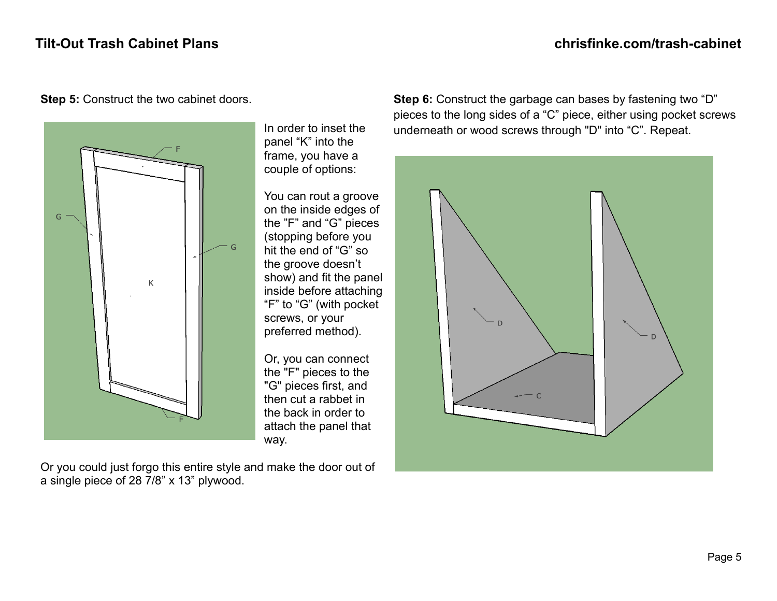

**Step 5:** Construct the two cabinet doors.

In order to inset the panel "K" into the frame, you have a couple of options:

You can rout a groove on the inside edges of the "F" and "G" pieces (stopping before you hit the end of "G" so the groove doesn't show) and fit the panel inside before attaching "F" to "G" (with pocket screws, or your preferred method).

Or, you can connect the "F" pieces to the "G" pieces first, and then cut a rabbet in the back in order to attach the panel that way.

Or you could just forgo this entire style and make the door out of a single piece of 28 7/8" x 13" plywood.

**Step 6:** Construct the garbage can bases by fastening two "D" pieces to the long sides of a "C" piece, either using pocket screws underneath or wood screws through "D" into "C". Repeat.

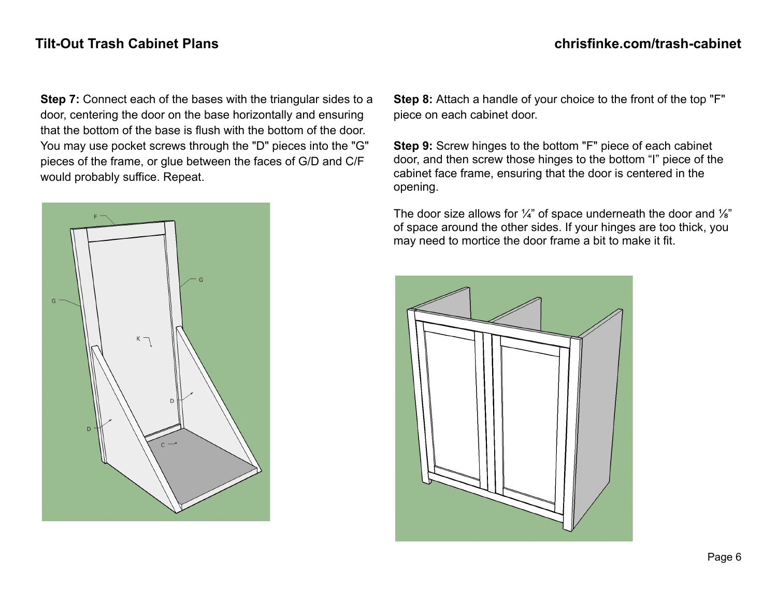**Step 7:** Connect each of the bases with the triangular sides to a door, centering the door on the base horizontally and ensuring that the bottom of the base is flush with the bottom of the door. You may use pocket screws through the "D" pieces into the "G" pieces of the frame, or glue between the faces of G/D and C/F would probably suffice. Repeat.



**Step 8:** Attach a handle of your choice to the front of the top "F" piece on each cabinet door.

**Step 9:** Screw hinges to the bottom "F" piece of each cabinet door, and then screw those hinges to the bottom "I" piece of the cabinet face frame, ensuring that the door is centered in the opening.

The door size allows for  $\frac{1}{4}$ " of space underneath the door and  $\frac{1}{8}$ " of space around the other sides. If your hinges are too thick, you may need to mortice the door frame a bit to make it fit.

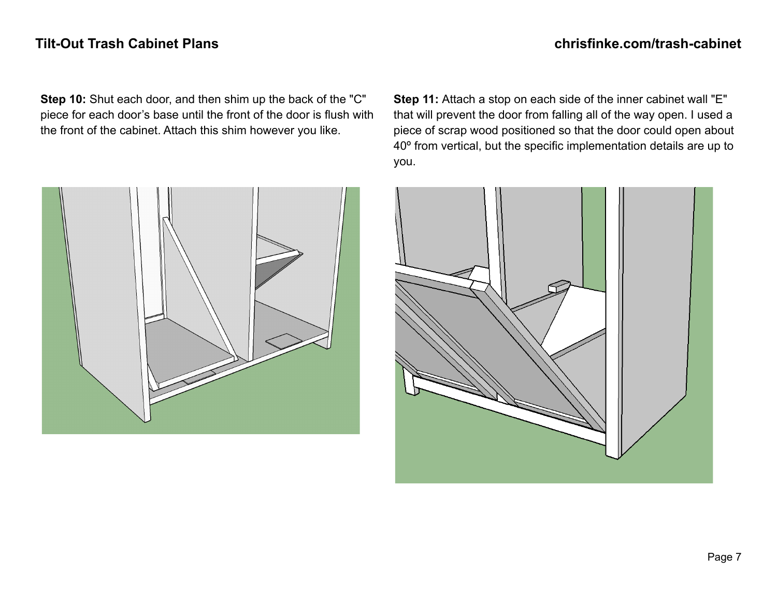**Step 10:** Shut each door, and then shim up the back of the "C" piece for each door's base until the front of the door is flush with the front of the cabinet. Attach this shim however you like.

**Step 11:** Attach a stop on each side of the inner cabinet wall "E" that will prevent the door from falling all of the way open. I used a piece of scrap wood positioned so that the door could open about 40º from vertical, but the specific implementation details are up to you.